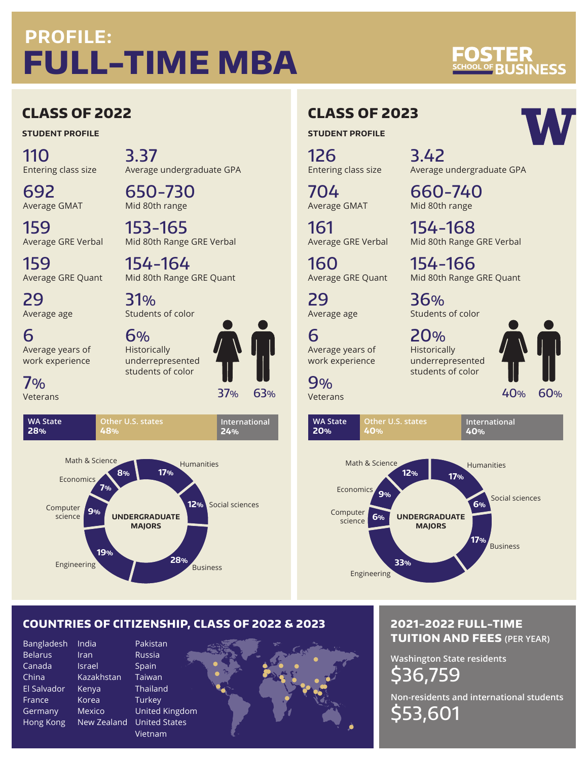# **PROFILE: FULL-TIME MBA**

# **VESS**

## **CLASS OF 2022**

**STUDENT PROFILE**

110 Entering class size

692

159

29

7% Veterans

> **WA State 28%**

Average age

3.37 Average undergraduate GPA

650-730 Mid 80th range

159 Average GRE Verbal

Average GRE Quant

Average GMAT

153-165 Mid 80th Range GRE Verbal

154-164 Mid 80th Range GRE Quant

31% Students of color

6 Average years of work experience

6% Historically underrepresented students of color

**Other U.S. states**

**48%**



## **CLASS OF 2023**

**STUDENT PROFILE**

126 Entering class size

704 Average GMAT

161 Average GRE Verbal

160 Average GRE Quant

29 Average age

6 Average years of work experience

9% Veterans

Engineering **12%** Social sciences **28% 19% 9% 7% 8% Business** Math & Science Economics **UNDERGRADUATE MAJORS** Computer science Humanities **17%**

## 3.42

660-740 Mid 80th range

154-168 Mid 80th Range GRE Verbal

Average undergraduate GPA

154-166 Mid 80th Range GRE Quant

36% Students of color

20% Historically underrepresented students of color



Engineering Social sciences **6% 17% 33% 6% 9% 12%** Business Math & Science Economics **UNDERGRADUATE MAJORS Computer** science **WA State 20% Other U.S. states 40% International 40%** Humanities **17%**

### **COUNTRIES OF CITIZENSHIP, CLASS OF 2022 & 2023**

Bangladesh Belarus Canada China El Salvador France Germany Hong Kong

India Iran Israel

Korea

Kazakhstan Kenya Mexico New Zealand United States Pakistan Russia Spain Taiwan **Thailand Turkey** United Kingdom Vietnam



#### **2021-2022 FULL-TIME TUITION AND FEES (PER YEAR)**

**Washington State residents** \$36,759 **Non-residents and international students** \$53,601





**International 24%**